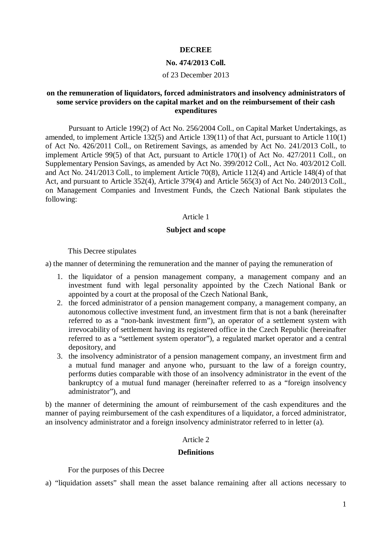## **DECREE**

#### **No. 474/2013 Coll.**

#### of 23 December 2013

# **on the remuneration of liquidators, forced administrators and insolvency administrators of some service providers on the capital market and on the reimbursement of their cash expenditures**

Pursuant to Article 199(2) of Act No. 256/2004 Coll., on Capital Market Undertakings, as amended, to implement Article 132(5) and Article 139(11) of that Act, pursuant to Article 110(1) of Act No. 426/2011 Coll., on Retirement Savings, as amended by Act No. 241/2013 Coll., to implement Article 99(5) of that Act, pursuant to Article 170(1) of Act No. 427/2011 Coll., on Supplementary Pension Savings, as amended by Act No. 399/2012 Coll., Act No. 403/2012 Coll. and Act No. 241/2013 Coll., to implement Article 70(8), Article 112(4) and Article 148(4) of that Act, and pursuant to Article 352(4), Article 379(4) and Article 565(3) of Act No. 240/2013 Coll., on Management Companies and Investment Funds, the Czech National Bank stipulates the following:

# Article 1

### **Subject and scope**

This Decree stipulates

a) the manner of determining the remuneration and the manner of paying the remuneration of

- 1. the liquidator of a pension management company, a management company and an investment fund with legal personality appointed by the Czech National Bank or appointed by a court at the proposal of the Czech National Bank,
- 2. the forced administrator of a pension management company, a management company, an autonomous collective investment fund, an investment firm that is not a bank (hereinafter referred to as a "non-bank investment firm"), an operator of a settlement system with irrevocability of settlement having its registered office in the Czech Republic (hereinafter referred to as a "settlement system operator"), a regulated market operator and a central depository, and
- 3. the insolvency administrator of a pension management company, an investment firm and a mutual fund manager and anyone who, pursuant to the law of a foreign country, performs duties comparable with those of an insolvency administrator in the event of the bankruptcy of a mutual fund manager (hereinafter referred to as a "foreign insolvency administrator"), and

b) the manner of determining the amount of reimbursement of the cash expenditures and the manner of paying reimbursement of the cash expenditures of a liquidator, a forced administrator, an insolvency administrator and a foreign insolvency administrator referred to in letter (a).

## Article 2

#### **Definitions**

For the purposes of this Decree

a) "liquidation assets" shall mean the asset balance remaining after all actions necessary to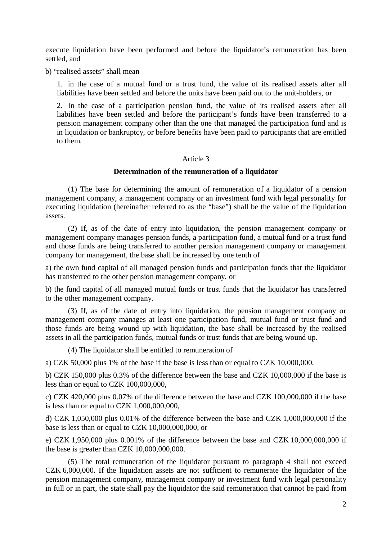execute liquidation have been performed and before the liquidator's remuneration has been settled, and

b) "realised assets" shall mean

1. in the case of a mutual fund or a trust fund, the value of its realised assets after all liabilities have been settled and before the units have been paid out to the unit-holders, or

2. In the case of a participation pension fund, the value of its realised assets after all liabilities have been settled and before the participant's funds have been transferred to a pension management company other than the one that managed the participation fund and is in liquidation or bankruptcy, or before benefits have been paid to participants that are entitled to them.

### Article 3

## **Determination of the remuneration of a liquidator**

(1) The base for determining the amount of remuneration of a liquidator of a pension management company, a management company or an investment fund with legal personality for executing liquidation (hereinafter referred to as the "base") shall be the value of the liquidation assets.

(2) If, as of the date of entry into liquidation, the pension management company or management company manages pension funds, a participation fund, a mutual fund or a trust fund and those funds are being transferred to another pension management company or management company for management, the base shall be increased by one tenth of

a) the own fund capital of all managed pension funds and participation funds that the liquidator has transferred to the other pension management company, or

b) the fund capital of all managed mutual funds or trust funds that the liquidator has transferred to the other management company.

(3) If, as of the date of entry into liquidation, the pension management company or management company manages at least one participation fund, mutual fund or trust fund and those funds are being wound up with liquidation, the base shall be increased by the realised assets in all the participation funds, mutual funds or trust funds that are being wound up.

(4) The liquidator shall be entitled to remuneration of

a) CZK 50,000 plus 1% of the base if the base is less than or equal to CZK 10,000,000,

b) CZK 150,000 plus 0.3% of the difference between the base and CZK 10,000,000 if the base is less than or equal to CZK 100,000,000,

c) CZK 420,000 plus 0.07% of the difference between the base and CZK 100,000,000 if the base is less than or equal to CZK  $1,000,000,000,$ 

d) CZK 1,050,000 plus 0.01% of the difference between the base and CZK 1,000,000,000 if the base is less than or equal to CZK 10,000,000,000, or

e) CZK 1,950,000 plus 0.001% of the difference between the base and CZK 10,000,000,000 if the base is greater than CZK 10,000,000,000.

(5) The total remuneration of the liquidator pursuant to paragraph 4 shall not exceed CZK 6,000,000. If the liquidation assets are not sufficient to remunerate the liquidator of the pension management company, management company or investment fund with legal personality in full or in part, the state shall pay the liquidator the said remuneration that cannot be paid from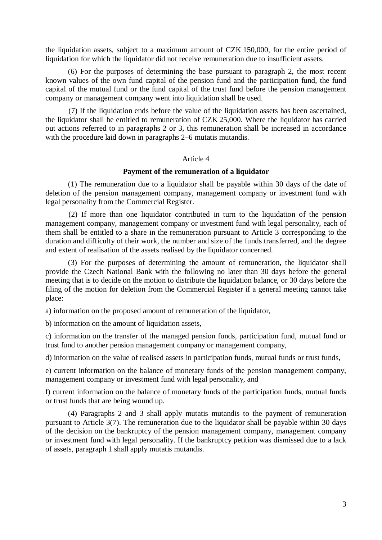the liquidation assets, subject to a maximum amount of CZK 150,000, for the entire period of liquidation for which the liquidator did not receive remuneration due to insufficient assets.

(6) For the purposes of determining the base pursuant to paragraph 2, the most recent known values of the own fund capital of the pension fund and the participation fund, the fund capital of the mutual fund or the fund capital of the trust fund before the pension management company or management company went into liquidation shall be used.

(7) If the liquidation ends before the value of the liquidation assets has been ascertained, the liquidator shall be entitled to remuneration of CZK 25,000. Where the liquidator has carried out actions referred to in paragraphs 2 or 3, this remuneration shall be increased in accordance with the procedure laid down in paragraphs 2–6 mutatis mutandis.

#### Article 4

#### **Payment of the remuneration of a liquidator**

(1) The remuneration due to a liquidator shall be payable within 30 days of the date of deletion of the pension management company, management company or investment fund with legal personality from the Commercial Register.

(2) If more than one liquidator contributed in turn to the liquidation of the pension management company, management company or investment fund with legal personality, each of them shall be entitled to a share in the remuneration pursuant to Article [3](aspi://module=) corresponding to the duration and difficulty of their work, the number and size of the funds transferred, and the degree and extent of realisation of the assets realised by the liquidator concerned.

(3) For the purposes of determining the amount of remuneration, the liquidator shall provide the Czech National Bank with the following no later than 30 days before the general meeting that is to decide on the motion to distribute the liquidation balance, or 30 days before the filing of the motion for deletion from the Commercial Register if a general meeting cannot take place:

a) information on the proposed amount of remuneration of the liquidator,

b) information on the amount of liquidation assets,

c) information on the transfer of the managed pension funds, participation fund, mutual fund or trust fund to another pension management company or management company,

d) information on the value of realised assets in participation funds, mutual funds or trust funds,

e) current information on the balance of monetary funds of the pension management company, management company or investment fund with legal personality, and

f) current information on the balance of monetary funds of the participation funds, mutual funds or trust funds that are being wound up.

(4) Paragraphs 2 and 3 shall apply mutatis mutandis to the payment of remuneration pursuant to Article 3(7). The remuneration due to the liquidator shall be payable within 30 days of the decision on the bankruptcy of the pension management company, management company or investment fund with legal personality. If the bankruptcy petition was dismissed due to a lack of assets, paragraph 1 shall apply mutatis mutandis.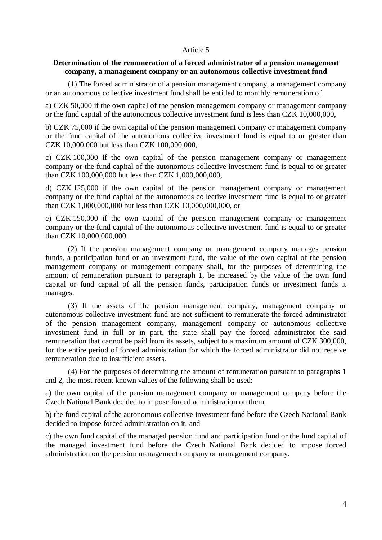## Article 5

## **Determination of the remuneration of a forced administrator of a pension management company, a management company or an autonomous collective investment fund**

(1) The forced administrator of a pension management company, a management company or an autonomous collective investment fund shall be entitled to monthly remuneration of

a) CZK 50,000 if the own capital of the pension management company or management company or the fund capital of the autonomous collective investment fund is less than CZK 10,000,000,

b) CZK 75,000 if the own capital of the pension management company or management company or the fund capital of the autonomous collective investment fund is equal to or greater than CZK 10,000,000 but less than CZK 100,000,000,

c) CZK 100,000 if the own capital of the pension management company or management company or the fund capital of the autonomous collective investment fund is equal to or greater than CZK 100,000,000 but less than CZK 1,000,000,000,

d) CZK 125,000 if the own capital of the pension management company or management company or the fund capital of the autonomous collective investment fund is equal to or greater than CZK 1,000,000,000 but less than CZK 10,000,000,000, or

e) CZK 150,000 if the own capital of the pension management company or management company or the fund capital of the autonomous collective investment fund is equal to or greater than CZK 10,000,000,000.

(2) If the pension management company or management company manages pension funds, a participation fund or an investment fund, the value of the own capital of the pension management company or management company shall, for the purposes of determining the amount of remuneration pursuant to paragraph 1, be increased by the value of the own fund capital or fund capital of all the pension funds, participation funds or investment funds it manages.

(3) If the assets of the pension management company, management company or autonomous collective investment fund are not sufficient to remunerate the forced administrator of the pension management company, management company or autonomous collective investment fund in full or in part, the state shall pay the forced administrator the said remuneration that cannot be paid from its assets, subject to a maximum amount of CZK 300,000, for the entire period of forced administration for which the forced administrator did not receive remuneration due to insufficient assets.

(4) For the purposes of determining the amount of remuneration pursuant to paragraphs 1 and 2, the most recent known values of the following shall be used:

a) the own capital of the pension management company or management company before the Czech National Bank decided to impose forced administration on them,

b) the fund capital of the autonomous collective investment fund before the Czech National Bank decided to impose forced administration on it, and

c) the own fund capital of the managed pension fund and participation fund or the fund capital of the managed investment fund before the Czech National Bank decided to impose forced administration on the pension management company or management company.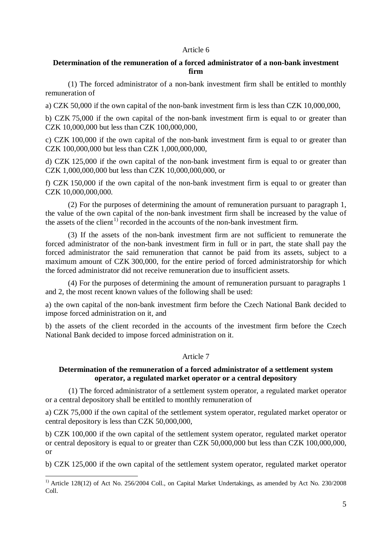## Article 6

# **Determination of the remuneration of a forced administrator of a non-bank investment firm**

(1) The forced administrator of a non-bank investment firm shall be entitled to monthly remuneration of

a) CZK 50,000 if the own capital of the non-bank investment firm is less than CZK 10,000,000,

b) CZK 75,000 if the own capital of the non-bank investment firm is equal to or greater than CZK 10,000,000 but less than CZK 100,000,000,

c) CZK 100,000 if the own capital of the non-bank investment firm is equal to or greater than CZK 100,000,000 but less than CZK 1,000,000,000,

d) CZK 125,000 if the own capital of the non-bank investment firm is equal to or greater than CZK 1,000,000,000 but less than CZK 10,000,000,000, or

f) CZK 150,000 if the own capital of the non-bank investment firm is equal to or greater than CZK 10,000,000,000.

(2) For the purposes of determining the amount of remuneration pursuant to paragraph 1, the value of the own capital of the non-bank investment firm shall be increased by the value of the assets of the client<sup>[1](#page-4-0))</sup> recorded in the accounts of the non-bank investment firm.

(3) If the assets of the non-bank investment firm are not sufficient to remunerate the forced administrator of the non-bank investment firm in full or in part, the state shall pay the forced administrator the said remuneration that cannot be paid from its assets, subject to a maximum amount of CZK 300,000, for the entire period of forced administratorship for which the forced administrator did not receive remuneration due to insufficient assets.

(4) For the purposes of determining the amount of remuneration pursuant to paragraphs 1 and 2, the most recent known values of the following shall be used:

a) the own capital of the non-bank investment firm before the Czech National Bank decided to impose forced administration on it, and

b) the assets of the client recorded in the accounts of the investment firm before the Czech National Bank decided to impose forced administration on it.

# Article 7

# **Determination of the remuneration of a forced administrator of a settlement system operator, a regulated market operator or a central depository**

(1) The forced administrator of a settlement system operator, a regulated market operator or a central depository shall be entitled to monthly remuneration of

a) CZK 75,000 if the own capital of the settlement system operator, regulated market operator or central depository is less than CZK 50,000,000,

b) CZK 100,000 if the own capital of the settlement system operator, regulated market operator or central depository is equal to or greater than CZK 50,000,000 but less than CZK 100,000,000, or

b) CZK 125,000 if the own capital of the settlement system operator, regulated market operator

<span id="page-4-0"></span><sup>&</sup>lt;sup>1)</sup> Article 128(12) of Act No. 256/2004 Coll., on Capital Market Undertakings, as amended by Act No. 230/2008 Coll.  $\overline{a}$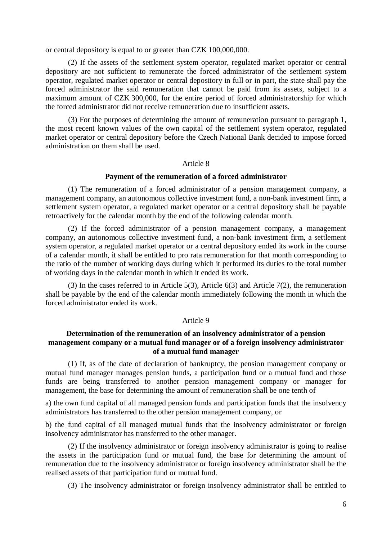or central depository is equal to or greater than CZK 100,000,000.

(2) If the assets of the settlement system operator, regulated market operator or central depository are not sufficient to remunerate the forced administrator of the settlement system operator, regulated market operator or central depository in full or in part, the state shall pay the forced administrator the said remuneration that cannot be paid from its assets, subject to a maximum amount of CZK 300,000, for the entire period of forced administratorship for which the forced administrator did not receive remuneration due to insufficient assets.

(3) For the purposes of determining the amount of remuneration pursuant to paragraph 1, the most recent known values of the own capital of the settlement system operator, regulated market operator or central depository before the Czech National Bank decided to impose forced administration on them shall be used.

### Article 8

## **Payment of the remuneration of a forced administrator**

(1) The remuneration of a forced administrator of a pension management company, a management company, an autonomous collective investment fund, a non-bank investment firm, a settlement system operator, a regulated market operator or a central depository shall be payable retroactively for the calendar month by the end of the following calendar month.

(2) If the forced administrator of a pension management company, a management company, an autonomous collective investment fund, a non-bank investment firm, a settlement system operator, a regulated market operator or a central depository ended its work in the course of a calendar month, it shall be entitled to pro rata remuneration for that month corresponding to the ratio of the number of working days during which it performed its duties to the total number of working days in the calendar month in which it ended its work.

(3) In the cases referred to in Article 5(3), Article 6(3) and Article 7(2), the remuneration shall be payable by the end of the calendar month immediately following the month in which the forced administrator ended its work.

## Article 9

# **Determination of the remuneration of an insolvency administrator of a pension management company or a mutual fund manager or of a foreign insolvency administrator of a mutual fund manager**

(1) If, as of the date of declaration of bankruptcy, the pension management company or mutual fund manager manages pension funds, a participation fund or a mutual fund and those funds are being transferred to another pension management company or manager for management, the base for determining the amount of remuneration shall be one tenth of

a) the own fund capital of all managed pension funds and participation funds that the insolvency administrators has transferred to the other pension management company, or

b) the fund capital of all managed mutual funds that the insolvency administrator or foreign insolvency administrator has transferred to the other manager.

(2) If the insolvency administrator or foreign insolvency administrator is going to realise the assets in the participation fund or mutual fund, the base for determining the amount of remuneration due to the insolvency administrator or foreign insolvency administrator shall be the realised assets of that participation fund or mutual fund.

(3) The insolvency administrator or foreign insolvency administrator shall be entitled to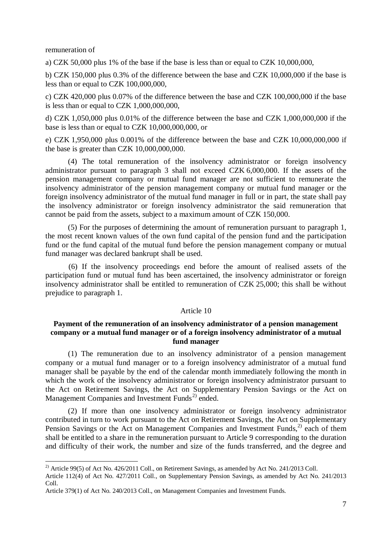remuneration of

 $\overline{a}$ 

a) CZK 50,000 plus 1% of the base if the base is less than or equal to CZK 10,000,000,

b) CZK 150,000 plus 0.3% of the difference between the base and CZK 10,000,000 if the base is less than or equal to CZK 100,000,000,

c) CZK 420,000 plus 0.07% of the difference between the base and CZK 100,000,000 if the base is less than or equal to CZK  $1,000,000,000$ ,

d) CZK 1,050,000 plus 0.01% of the difference between the base and CZK 1,000,000,000 if the base is less than or equal to CZK 10,000,000,000, or

e) CZK 1,950,000 plus 0.001% of the difference between the base and CZK 10,000,000,000 if the base is greater than CZK 10,000,000,000.

(4) The total remuneration of the insolvency administrator or foreign insolvency administrator pursuant to paragraph 3 shall not exceed CZK 6,000,000. If the assets of the pension management company or mutual fund manager are not sufficient to remunerate the insolvency administrator of the pension management company or mutual fund manager or the foreign insolvency administrator of the mutual fund manager in full or in part, the state shall pay the insolvency administrator or foreign insolvency administrator the said remuneration that cannot be paid from the assets, subject to a maximum amount of CZK 150,000.

(5) For the purposes of determining the amount of remuneration pursuant to paragraph 1, the most recent known values of the own fund capital of the pension fund and the participation fund or the fund capital of the mutual fund before the pension management company or mutual fund manager was declared bankrupt shall be used.

(6) If the insolvency proceedings end before the amount of realised assets of the participation fund or mutual fund has been ascertained, the insolvency administrator or foreign insolvency administrator shall be entitled to remuneration of CZK 25,000; this shall be without prejudice to paragraph 1.

### Article 10

# **Payment of the remuneration of an insolvency administrator of a pension management company or a mutual fund manager or of a foreign insolvency administrator of a mutual fund manager**

(1) The remuneration due to an insolvency administrator of a pension management company or a mutual fund manager or to a foreign insolvency administrator of a mutual fund manager shall be payable by the end of the calendar month immediately following the month in which the work of the insolvency administrator or foreign insolvency administrator pursuant to the Act on Retirement Savings, the Act on Supplementary Pension Savings or the Act on Management Companies and Investment Funds<sup> $2$ )</sup> ended.

(2) If more than one insolvency administrator or foreign insolvency administrator contributed in turn to work pursuant to the Act on Retirement Savings, the Act on Supplementary Pension Savings or the Act on Management Companies and Investment Funds, $^{2)}$  each of them shall be entitled to a share in the remuneration pursuant to Article 9 corresponding to the duration and difficulty of their work, the number and size of the funds transferred, and the degree and

<span id="page-6-0"></span><sup>&</sup>lt;sup>2)</sup> Article 99(5) of Act No. 426/2011 Coll., on Retirement Savings, as amended by Act No. 241/2013 Coll.

Article 112(4) of Act No. 427/2011 Coll., on Supplementary Pension Savings, as amended by Act No. 241/2013 Coll.

Article 379(1) of Act No. 240/2013 Coll., on Management Companies and Investment Funds.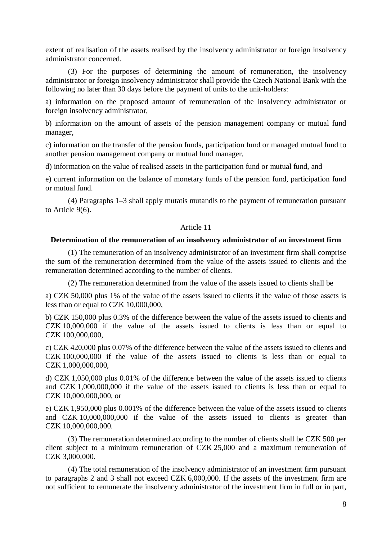extent of realisation of the assets realised by the insolvency administrator or foreign insolvency administrator concerned.

(3) For the purposes of determining the amount of remuneration, the insolvency administrator or foreign insolvency administrator shall provide the Czech National Bank with the following no later than 30 days before the payment of units to the unit-holders:

a) information on the proposed amount of remuneration of the insolvency administrator or foreign insolvency administrator,

b) information on the amount of assets of the pension management company or mutual fund manager,

c) information on the transfer of the pension funds, participation fund or managed mutual fund to another pension management company or mutual fund manager,

d) information on the value of realised assets in the participation fund or mutual fund, and

e) current information on the balance of monetary funds of the pension fund, participation fund or mutual fund.

(4) Paragraphs 1–3 shall apply mutatis mutandis to the payment of remuneration pursuant to Article 9[\(6\)](aspi://module=).

### Article 11

#### **Determination of the remuneration of an insolvency administrator of an investment firm**

(1) The remuneration of an insolvency administrator of an investment firm shall comprise the sum of the remuneration determined from the value of the assets issued to clients and the remuneration determined according to the number of clients.

(2) The remuneration determined from the value of the assets issued to clients shall be

a) CZK 50,000 plus 1% of the value of the assets issued to clients if the value of those assets is less than or equal to CZK 10,000,000,

b) CZK 150,000 plus 0.3% of the difference between the value of the assets issued to clients and CZK 10,000,000 if the value of the assets issued to clients is less than or equal to CZK 100,000,000,

c) CZK 420,000 plus 0.07% of the difference between the value of the assets issued to clients and CZK 100,000,000 if the value of the assets issued to clients is less than or equal to CZK 1,000,000,000,

d) CZK 1,050,000 plus 0.01% of the difference between the value of the assets issued to clients and CZK 1,000,000,000 if the value of the assets issued to clients is less than or equal to CZK 10,000,000,000, or

e) CZK 1,950,000 plus 0.001% of the difference between the value of the assets issued to clients and CZK 10,000,000,000 if the value of the assets issued to clients is greater than CZK 10,000,000,000.

(3) The remuneration determined according to the number of clients shall be CZK 500 per client subject to a minimum remuneration of CZK 25,000 and a maximum remuneration of CZK 3,000,000.

(4) The total remuneration of the insolvency administrator of an investment firm pursuant to paragraphs 2 and 3 shall not exceed CZK 6,000,000. If the assets of the investment firm are not sufficient to remunerate the insolvency administrator of the investment firm in full or in part,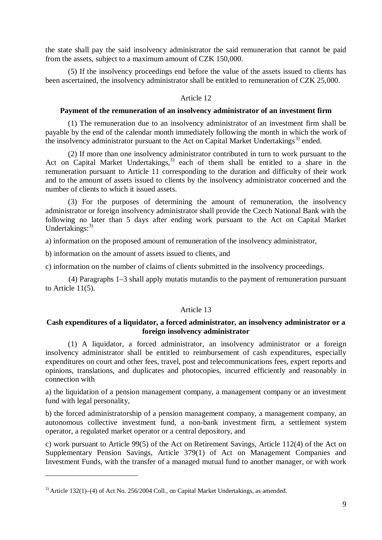the state shall pay the said insolvency administrator the said remuneration that cannot be paid from the assets, subject to a maximum amount of CZK 150,000.

(5) If the insolvency proceedings end before the value of the assets issued to clients has been ascertained, the insolvency administrator shall be entitled to remuneration of CZK 25,000.

# Article 12

### **Payment of the remuneration of an insolvency administrator of an investment firm**

(1) The remuneration due to an insolvency administrator of an investment firm shall be payable by the end of the calendar month immediately following the month in which the work of the insolvency administrator pursuant to the Act on Capital Market Undertakings<sup>[3\)](#page-8-0)</sup> ended.

(2) If more than one insolvency administrator contributed in turn to work pursuant to the Act on Capital Market Undertakings,<sup>3)</sup> each of them shall be entitled to a share in the remuneration pursuant to Article 11 corresponding to the duration and difficulty of their work and to the amount of assets issued to clients by the insolvency administrator concerned and the number of clients to which it issued assets.

(3) For the purposes of determining the amount of remuneration, the insolvency administrator or foreign insolvency administrator shall provide the Czech National Bank with the following no later than 5 days after ending work pursuant to the Act on Capital Market Undertakings: $3)$ 

a) information on the proposed amount of remuneration of the insolvency administrator,

b) information on the amount of assets issued to clients, and

c) information on the number of claims of clients submitted in the insolvency proceedings.

(4) Paragraphs 1–3 shall apply mutatis mutandis to the payment of remuneration pursuant to [Article 11\(5\)](aspi://module=).

# Article 13

# **Cash expenditures of a liquidator, a forced administrator, an insolvency administrator or a foreign insolvency administrator**

(1) A liquidator, a forced administrator, an insolvency administrator or a foreign insolvency administrator shall be entitled to reimbursement of cash expenditures, especially expenditures on court and other fees, travel, post and telecommunications fees, expert reports and opinions, translations, and duplicates and photocopies, incurred efficiently and reasonably in connection with

a) the liquidation of a pension management company, a management company or an investment fund with legal personality,

b) the forced administratorship of a pension management company, a management company, an autonomous collective investment fund, a non-bank investment firm, a settlement system operator, a regulated market operator or a central depository, and

c) work pursuant to Article 99(5) of the Act on Retirement Savings, Article 112(4) of the Act on Supplementary Pension Savings, Article 379(1) of Act on Management Companies and Investment Funds, with the transfer of a managed mutual fund to another manager, or with work

 $\overline{a}$ 

<span id="page-8-0"></span> $3)$  Article 132(1)–(4) of Act No. 256/2004 Coll., on Capital Market Undertakings, as amended.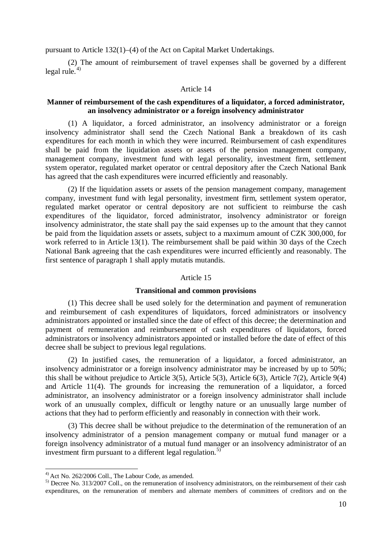pursuant to Article [132\(1\)–\(4\)](aspi://module=) of the Act on Capital Market Undertakings.

(2) The amount of reimbursement of travel expenses shall be governed by a different legal rule. $4$ )

## Article 14

# **Manner of reimbursement of the cash expenditures of a liquidator, a forced administrator, an insolvency administrator or a foreign insolvency administrator**

(1) A liquidator, a forced administrator, an insolvency administrator or a foreign insolvency administrator shall send the Czech National Bank a breakdown of its cash expenditures for each month in which they were incurred. Reimbursement of cash expenditures shall be paid from the liquidation assets or assets of the pension management company, management company, investment fund with legal personality, investment firm, settlement system operator, regulated market operator or central depository after the Czech National Bank has agreed that the cash expenditures were incurred efficiently and reasonably.

(2) If the liquidation assets or assets of the pension management company, management company, investment fund with legal personality, investment firm, settlement system operator, regulated market operator or central depository are not sufficient to reimburse the cash expenditures of the liquidator, forced administrator, insolvency administrator or foreign insolvency administrator, the state shall pay the said expenses up to the amount that they cannot be paid from the liquidation assets or assets, subject to a maximum amount of CZK 300,000, for work referred to in Article 13(1). The reimbursement shall be paid within 30 days of the Czech National Bank agreeing that the cash expenditures were incurred efficiently and reasonably. The first sentence of paragraph 1 shall apply mutatis mutandis.

## Article 15

### **Transitional and common provisions**

(1) This decree shall be used solely for the determination and payment of remuneration and reimbursement of cash expenditures of liquidators, forced administrators or insolvency administrators appointed or installed since the date of effect of this decree; the determination and payment of remuneration and reimbursement of cash expenditures of liquidators, forced administrators or insolvency administrators appointed or installed before the date of effect of this decree shall be subject to previous legal regulations.

(2) In justified cases, the remuneration of a liquidator, a forced administrator, an insolvency administrator or a foreign insolvency administrator may be increased by up to 50%; this shall be without prejudice to Article 3(5), Article 5(3), Article 6(3), Article 7(2), Article 9(4) and Article 11(4). The grounds for increasing the remuneration of a liquidator, a forced administrator, an insolvency administrator or a foreign insolvency administrator shall include work of an unusually complex, difficult or lengthy nature or an unusually large number of actions that they had to perform efficiently and reasonably in connection with their work.

(3) This decree shall be without prejudice to the determination of the remuneration of an insolvency administrator of a pension management company or mutual fund manager or a foreign insolvency administrator of a mutual fund manager or an insolvency administrator of an investment firm pursuant to a different legal regulation.<sup>[5\)](#page-9-1)</sup>

<span id="page-9-0"></span> $^{4)}$  Act No. 262/2006 Coll., The Labour Code, as amended.

<span id="page-9-1"></span> $^{5)}$  Decree No. 313/2007 Coll., on the remuneration of insolvency administrators, on the reimbursement of their cash expenditures, on the remuneration of members and alternate members of committees of creditors and on the